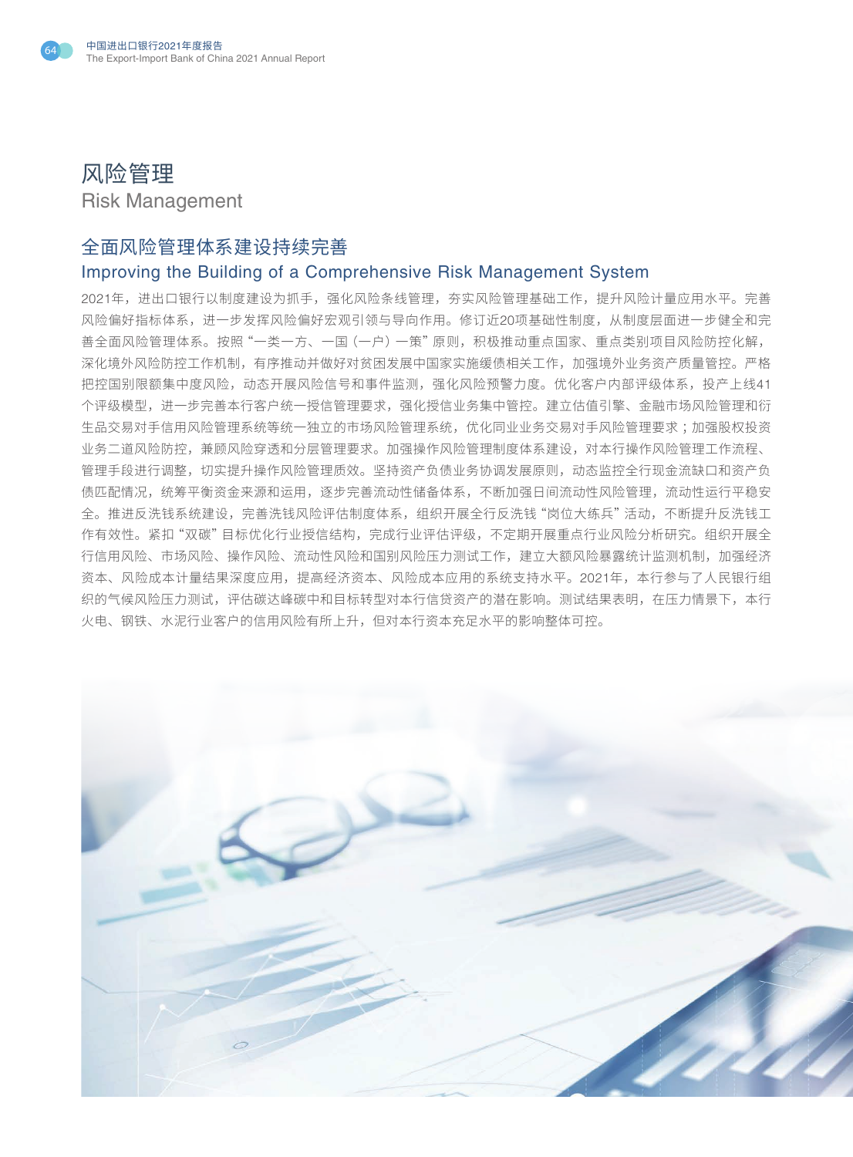



## 全面风险管理体系建设持续完善

## Improving the Building of a Comprehensive Risk Management System

2021年,进出口银行以制度建设为抓手,强化风险条线管理,夯实风险管理基础工作,提升风险计量应用水平。完善 风险偏好指标体系,进一步发挥风险偏好宏观引领与导向作用。修订近20项基础性制度,从制度层面进一步健全和完 善全面风险管理体系。按照"一类一方、一国(一户)一策"原则,积极推动重点国家、重点类别项目风险防控化解, 深化境外风险防控工作机制,有序推动并做好对贫困发展中国家实施缓债相关工作,加强境外业务资产质量管控。严格 把控国别限额集中度风险,动态开展风险信号和事件监测,强化风险预警力度。优化客户内部评级体系,投产上线41 个评级模型,进一步完善本行客户统一授信管理要求,强化授信业务集中管控。建立估值引擎、金融市场风险管理和衍 生品交易对手信用风险管理系统等统一独立的市场风险管理系统,优化同业业务交易对手风险管理要求 ;加强股权投资 业务二道风险防控,兼顾风险穿透和分层管理要求。加强操作风险管理制度体系建设,对本行操作风险管理工作流程、 管理手段进行调整,切实提升操作风险管理质效。坚持资产负债业务协调发展原则,动态监控全行现金流缺口和资产负 债匹配情况,统筹平衡资金来源和运用,逐步完善流动性储备体系,不断加强日间流动性风险管理,流动性运行平稳安 全。推进反洗钱系统建设,完善洗钱风险评估制度体系,组织开展全行反洗钱"岗位大练兵"活动,不断提升反洗钱工 作有效性。紧扣"双碳"目标优化行业授信结构,完成行业评估评级,不定期开展重点行业风险分析研究。组织开展全 行信用风险、市场风险、操作风险、流动性风险和国别风险压力测试工作,建立大额风险暴露统计监测机制,加强经济 资本、风险成本计量结果深度应用,提高经济资本、风险成本应用的系统支持水平。2021年,本行参与了人民银行组 织的气候风险压力测试,评估碳达峰碳中和目标转型对本行信贷资产的潜在影响。测试结果表明,在压力情景下,本行 火电、钢铁、水泥行业客户的信用风险有所上升,但对本行资本充足水平的影响整体可控。

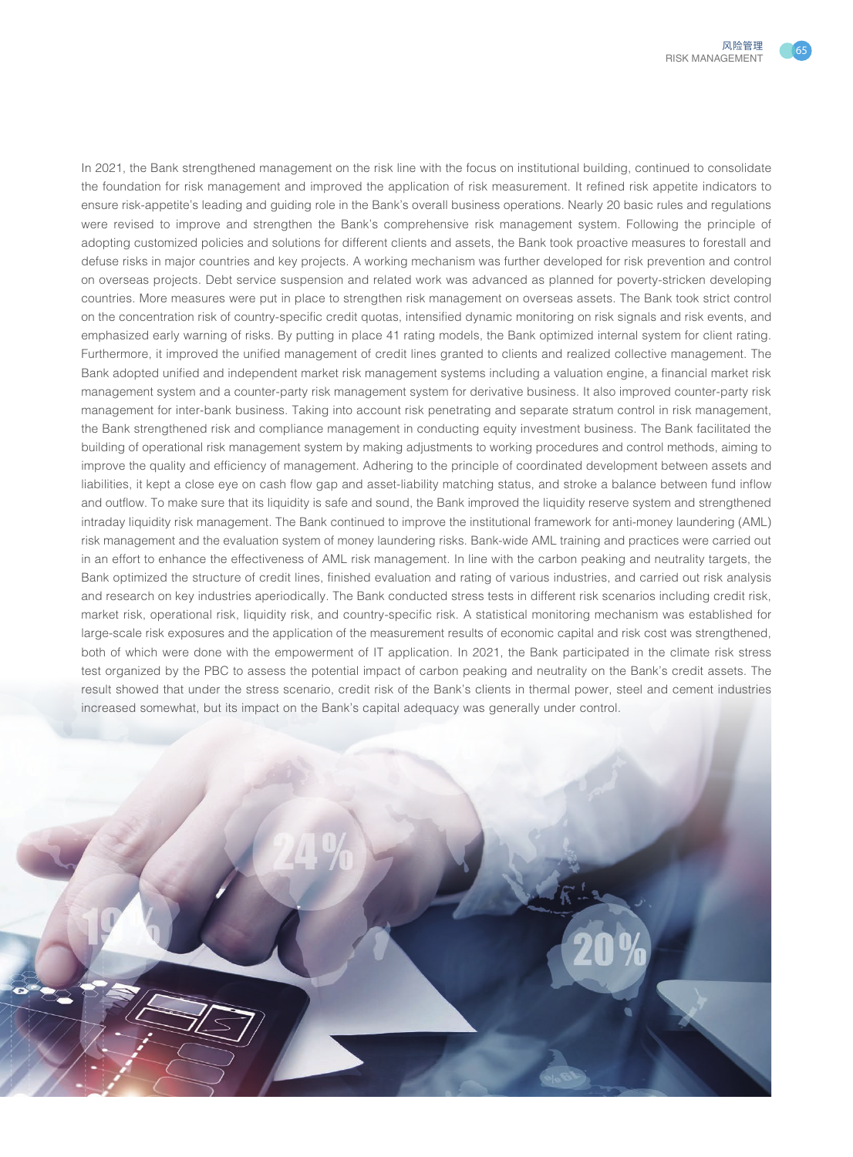

In 2021, the Bank strengthened management on the risk line with the focus on institutional building, continued to consolidate the foundation for risk management and improved the application of risk measurement. It refined risk appetite indicators to ensure risk-appetite's leading and guiding role in the Bank's overall business operations. Nearly 20 basic rules and regulations were revised to improve and strengthen the Bank's comprehensive risk management system. Following the principle of adopting customized policies and solutions for different clients and assets, the Bank took proactive measures to forestall and defuse risks in major countries and key projects. A working mechanism was further developed for risk prevention and control on overseas projects. Debt service suspension and related work was advanced as planned for poverty-stricken developing countries. More measures were put in place to strengthen risk management on overseas assets. The Bank took strict control on the concentration risk of country-specific credit quotas, intensified dynamic monitoring on risk signals and risk events, and emphasized early warning of risks. By putting in place 41 rating models, the Bank optimized internal system for client rating. Furthermore, it improved the unified management of credit lines granted to clients and realized collective management. The Bank adopted unified and independent market risk management systems including a valuation engine, a financial market risk management system and a counter-party risk management system for derivative business. It also improved counter-party risk management for inter-bank business. Taking into account risk penetrating and separate stratum control in risk management, the Bank strengthened risk and compliance management in conducting equity investment business. The Bank facilitated the building of operational risk management system by making adjustments to working procedures and control methods, aiming to improve the quality and efficiency of management. Adhering to the principle of coordinated development between assets and liabilities, it kept a close eye on cash flow gap and asset-liability matching status, and stroke a balance between fund inflow and outflow. To make sure that its liquidity is safe and sound, the Bank improved the liquidity reserve system and strengthened intraday liquidity risk management. The Bank continued to improve the institutional framework for anti-money laundering (AML) risk management and the evaluation system of money laundering risks. Bank-wide AML training and practices were carried out in an effort to enhance the effectiveness of AML risk management. In line with the carbon peaking and neutrality targets, the Bank optimized the structure of credit lines, finished evaluation and rating of various industries, and carried out risk analysis and research on key industries aperiodically. The Bank conducted stress tests in different risk scenarios including credit risk, market risk, operational risk, liquidity risk, and country-specific risk. A statistical monitoring mechanism was established for large-scale risk exposures and the application of the measurement results of economic capital and risk cost was strengthened, both of which were done with the empowerment of IT application. In 2021, the Bank participated in the climate risk stress test organized by the PBC to assess the potential impact of carbon peaking and neutrality on the Bank's credit assets. The result showed that under the stress scenario, credit risk of the Bank's clients in thermal power, steel and cement industries increased somewhat, but its impact on the Bank's capital adequacy was generally under control.

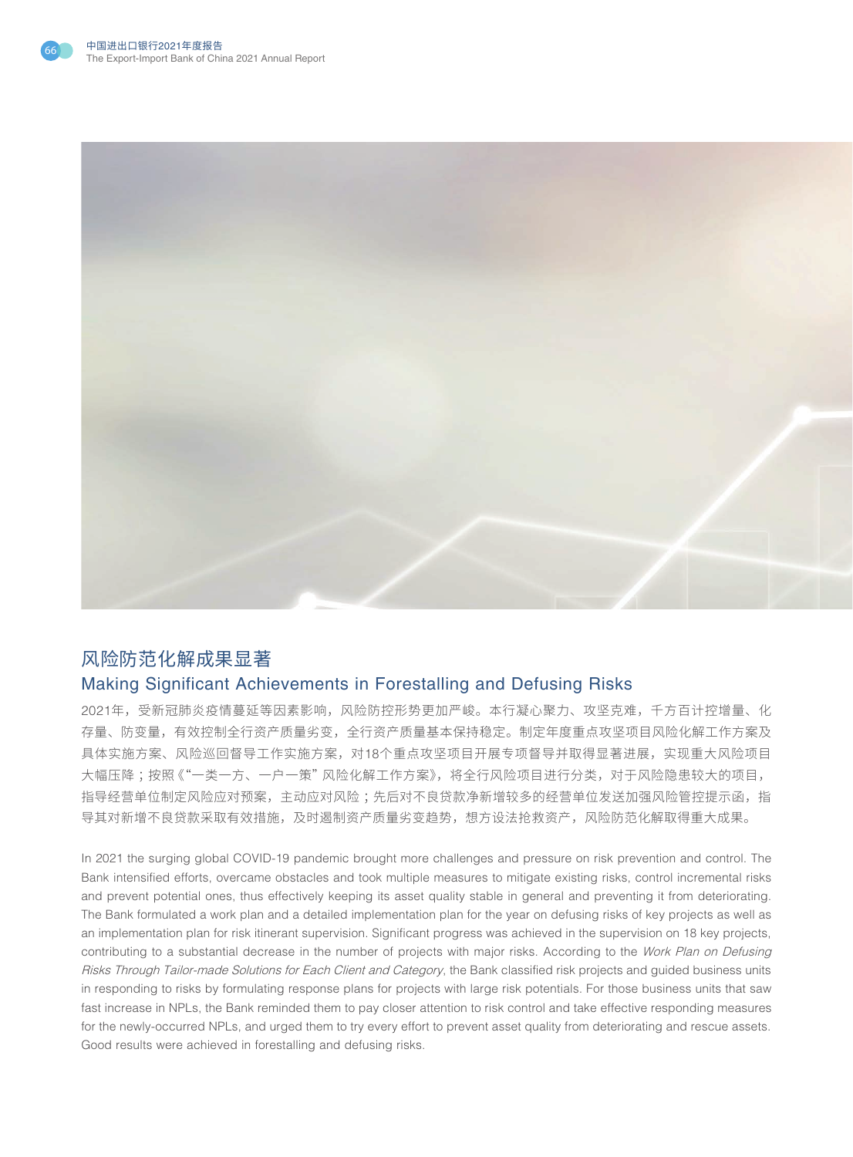



## 风险防范化解成果显著 Making Significant Achievements in Forestalling and Defusing Risks

2021年,受新冠肺炎疫情蔓延等因素影响,风险防控形势更加严峻。本行凝心聚力、攻坚克难,千方百计控增量、化 存量、防变量,有效控制全行资产质量劣变,全行资产质量基本保持稳定。制定年度重点攻坚项目风险化解工作方案及 具体实施方案、风险巡回督导工作实施方案,对18个重点攻坚项目开展专项督导并取得显著进展,实现重大风险项目 大幅压降 ;按照《"一类一方、一户一策"风险化解工作方案》,将全行风险项目进行分类,对于风险隐患较大的项目, 指导经营单位制定风险应对预案,主动应对风险 ;先后对不良贷款净新增较多的经营单位发送加强风险管控提示函,指 导其对新增不良贷款采取有效措施,及时遏制资产质量劣变趋势,想方设法抢救资产,风险防范化解取得重大成果。

In 2021 the surging global COVID-19 pandemic brought more challenges and pressure on risk prevention and control. The Bank intensified efforts, overcame obstacles and took multiple measures to mitigate existing risks, control incremental risks and prevent potential ones, thus effectively keeping its asset quality stable in general and preventing it from deteriorating. The Bank formulated a work plan and a detailed implementation plan for the year on defusing risks of key projects as well as an implementation plan for risk itinerant supervision. Significant progress was achieved in the supervision on 18 key projects, contributing to a substantial decrease in the number of projects with major risks. According to the Work Plan on Defusing Risks Through Tailor-made Solutions for Each Client and Category, the Bank classified risk projects and guided business units in responding to risks by formulating response plans for projects with large risk potentials. For those business units that saw fast increase in NPLs, the Bank reminded them to pay closer attention to risk control and take effective responding measures for the newly-occurred NPLs, and urged them to try every effort to prevent asset quality from deteriorating and rescue assets. Good results were achieved in forestalling and defusing risks.